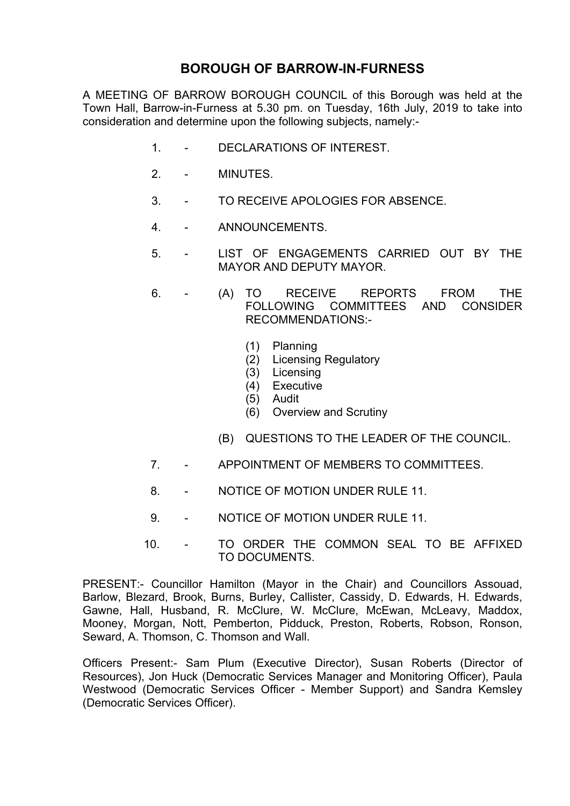# **BOROUGH OF BARROW-IN-FURNESS**

A MEETING OF BARROW BOROUGH COUNCIL of this Borough was held at the Town Hall, Barrow-in-Furness at 5.30 pm. on Tuesday, 16th July, 2019 to take into consideration and determine upon the following subjects, namely:-

- 1. DECLARATIONS OF INTEREST.
- 2. MINUTES.
- 3. TO RECEIVE APOLOGIES FOR ABSENCE.
- 4. ANNOUNCEMENTS.
- 5. LIST OF ENGAGEMENTS CARRIED OUT BY THE MAYOR AND DEPUTY MAYOR.
- 6. (A) TO RECEIVE REPORTS FROM THE FOLLOWING COMMITTEES AND CONSIDER RECOMMENDATIONS:-
	- (1) Planning
	- (2) Licensing Regulatory
	- (3) Licensing
	- (4) Executive
	- (5) Audit
	- (6) Overview and Scrutiny
	- (B) QUESTIONS TO THE LEADER OF THE COUNCIL.
- 7. APPOINTMENT OF MEMBERS TO COMMITTEES.
- 8. NOTICE OF MOTION UNDER RULE 11.
- 9. NOTICE OF MOTION UNDER RULE 11.
- 10. TO ORDER THE COMMON SEAL TO BE AFFIXED TO DOCUMENTS.

PRESENT:- Councillor Hamilton (Mayor in the Chair) and Councillors Assouad, Barlow, Blezard, Brook, Burns, Burley, Callister, Cassidy, D. Edwards, H. Edwards, Gawne, Hall, Husband, R. McClure, W. McClure, McEwan, McLeavy, Maddox, Mooney, Morgan, Nott, Pemberton, Pidduck, Preston, Roberts, Robson, Ronson, Seward, A. Thomson, C. Thomson and Wall.

Officers Present:- Sam Plum (Executive Director), Susan Roberts (Director of Resources), Jon Huck (Democratic Services Manager and Monitoring Officer), Paula Westwood (Democratic Services Officer - Member Support) and Sandra Kemsley (Democratic Services Officer).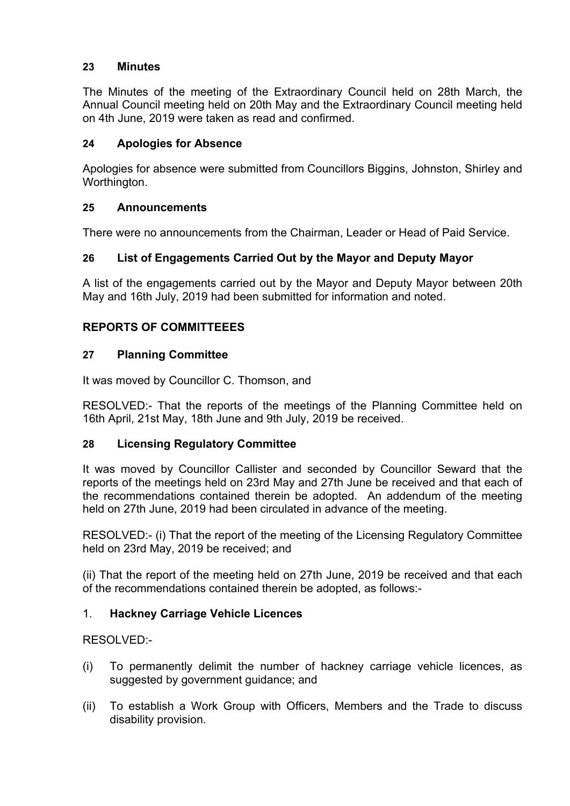## **23 Minutes**

The Minutes of the meeting of the Extraordinary Council held on 28th March, the Annual Council meeting held on 20th May and the Extraordinary Council meeting held on 4th June, 2019 were taken as read and confirmed.

## **24 Apologies for Absence**

Apologies for absence were submitted from Councillors Biggins, Johnston, Shirley and Worthington.

## **25 Announcements**

There were no announcements from the Chairman, Leader or Head of Paid Service.

## **26 List of Engagements Carried Out by the Mayor and Deputy Mayor**

A list of the engagements carried out by the Mayor and Deputy Mayor between 20th May and 16th July, 2019 had been submitted for information and noted.

## **REPORTS OF COMMITTEEES**

## **27 Planning Committee**

It was moved by Councillor C. Thomson, and

RESOLVED:- That the reports of the meetings of the Planning Committee held on 16th April, 21st May, 18th June and 9th July, 2019 be received.

## **28 Licensing Regulatory Committee**

It was moved by Councillor Callister and seconded by Councillor Seward that the reports of the meetings held on 23rd May and 27th June be received and that each of the recommendations contained therein be adopted. An addendum of the meeting held on 27th June, 2019 had been circulated in advance of the meeting.

RESOLVED:- (i) That the report of the meeting of the Licensing Regulatory Committee held on 23rd May, 2019 be received; and

(ii) That the report of the meeting held on 27th June, 2019 be received and that each of the recommendations contained therein be adopted, as follows:-

## 1. **Hackney Carriage Vehicle Licences**

RESOLVED:-

- (i) To permanently delimit the number of hackney carriage vehicle licences, as suggested by government guidance; and
- (ii) To establish a Work Group with Officers, Members and the Trade to discuss disability provision.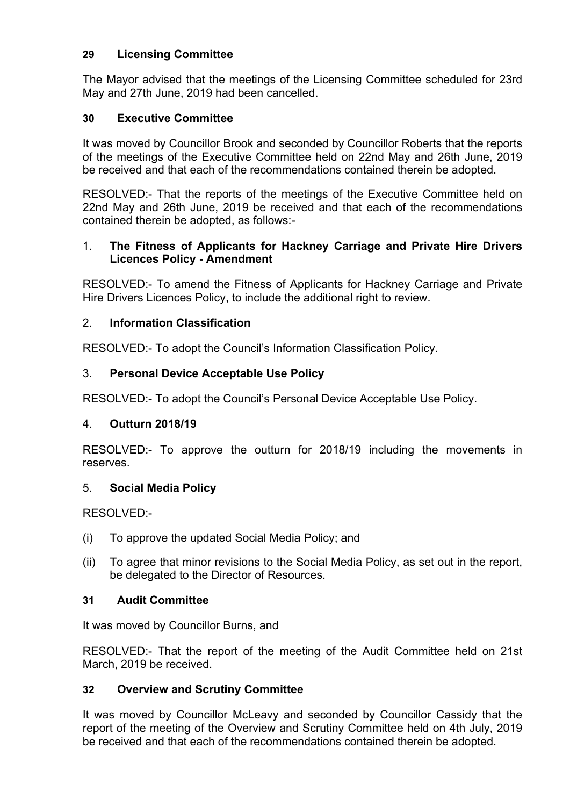## **29 Licensing Committee**

The Mayor advised that the meetings of the Licensing Committee scheduled for 23rd May and 27th June, 2019 had been cancelled.

## **30 Executive Committee**

It was moved by Councillor Brook and seconded by Councillor Roberts that the reports of the meetings of the Executive Committee held on 22nd May and 26th June, 2019 be received and that each of the recommendations contained therein be adopted.

RESOLVED:- That the reports of the meetings of the Executive Committee held on 22nd May and 26th June, 2019 be received and that each of the recommendations contained therein be adopted, as follows:-

#### 1. **The Fitness of Applicants for Hackney Carriage and Private Hire Drivers Licences Policy - Amendment**

RESOLVED:- To amend the Fitness of Applicants for Hackney Carriage and Private Hire Drivers Licences Policy, to include the additional right to review.

## 2. **Information Classification**

RESOLVED:- To adopt the Council's Information Classification Policy.

## 3. **Personal Device Acceptable Use Policy**

RESOLVED:- To adopt the Council's Personal Device Acceptable Use Policy.

## 4. **Outturn 2018/19**

RESOLVED:- To approve the outturn for 2018/19 including the movements in reserves.

## 5. **Social Media Policy**

RESOLVED:-

- (i) To approve the updated Social Media Policy; and
- (ii) To agree that minor revisions to the Social Media Policy, as set out in the report, be delegated to the Director of Resources.

## **31 Audit Committee**

It was moved by Councillor Burns, and

RESOLVED:- That the report of the meeting of the Audit Committee held on 21st March, 2019 be received.

## **32 Overview and Scrutiny Committee**

It was moved by Councillor McLeavy and seconded by Councillor Cassidy that the report of the meeting of the Overview and Scrutiny Committee held on 4th July, 2019 be received and that each of the recommendations contained therein be adopted.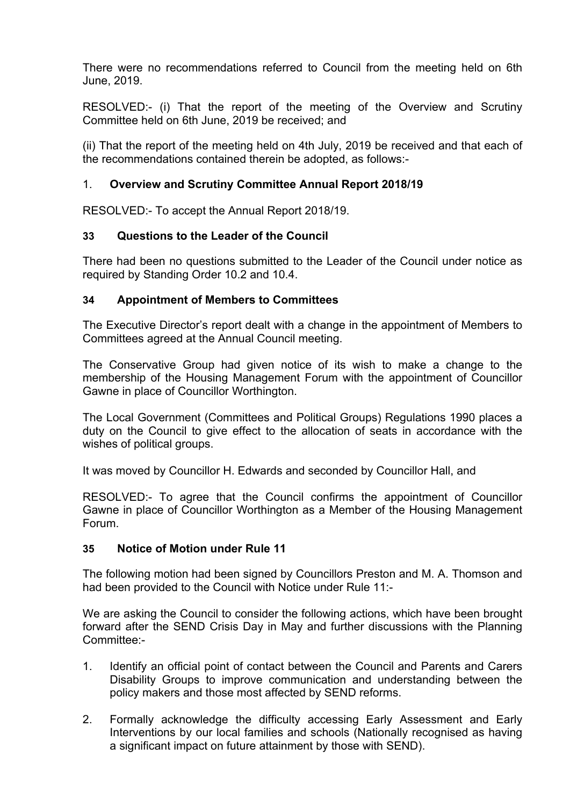There were no recommendations referred to Council from the meeting held on 6th June, 2019.

RESOLVED:- (i) That the report of the meeting of the Overview and Scrutiny Committee held on 6th June, 2019 be received; and

(ii) That the report of the meeting held on 4th July, 2019 be received and that each of the recommendations contained therein be adopted, as follows:-

#### 1. **Overview and Scrutiny Committee Annual Report 2018/19**

RESOLVED:- To accept the Annual Report 2018/19.

#### **33 Questions to the Leader of the Council**

There had been no questions submitted to the Leader of the Council under notice as required by Standing Order 10.2 and 10.4.

#### **34 Appointment of Members to Committees**

The Executive Director's report dealt with a change in the appointment of Members to Committees agreed at the Annual Council meeting.

The Conservative Group had given notice of its wish to make a change to the membership of the Housing Management Forum with the appointment of Councillor Gawne in place of Councillor Worthington.

The Local Government (Committees and Political Groups) Regulations 1990 places a duty on the Council to give effect to the allocation of seats in accordance with the wishes of political groups.

It was moved by Councillor H. Edwards and seconded by Councillor Hall, and

RESOLVED:- To agree that the Council confirms the appointment of Councillor Gawne in place of Councillor Worthington as a Member of the Housing Management Forum.

#### **35 Notice of Motion under Rule 11**

The following motion had been signed by Councillors Preston and M. A. Thomson and had been provided to the Council with Notice under Rule 11:-

We are asking the Council to consider the following actions, which have been brought forward after the SEND Crisis Day in May and further discussions with the Planning Committee:-

- 1. Identify an official point of contact between the Council and Parents and Carers Disability Groups to improve communication and understanding between the policy makers and those most affected by SEND reforms.
- 2. Formally acknowledge the difficulty accessing Early Assessment and Early Interventions by our local families and schools (Nationally recognised as having a significant impact on future attainment by those with SEND).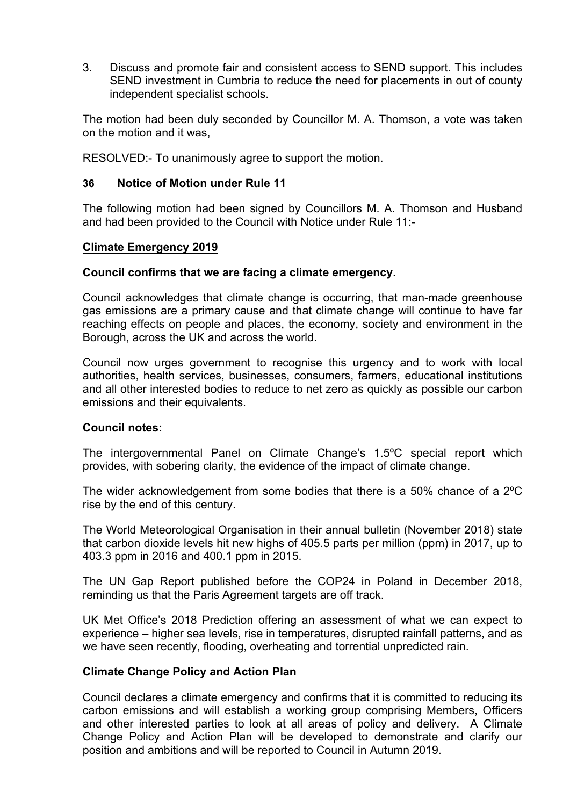3. Discuss and promote fair and consistent access to SEND support. This includes SEND investment in Cumbria to reduce the need for placements in out of county independent specialist schools.

The motion had been duly seconded by Councillor M. A. Thomson, a vote was taken on the motion and it was,

RESOLVED:- To unanimously agree to support the motion.

#### **36 Notice of Motion under Rule 11**

The following motion had been signed by Councillors M. A. Thomson and Husband and had been provided to the Council with Notice under Rule 11:-

#### **Climate Emergency 2019**

#### **Council confirms that we are facing a climate emergency.**

Council acknowledges that climate change is occurring, that man-made greenhouse gas emissions are a primary cause and that climate change will continue to have far reaching effects on people and places, the economy, society and environment in the Borough, across the UK and across the world.

Council now urges government to recognise this urgency and to work with local authorities, health services, businesses, consumers, farmers, educational institutions and all other interested bodies to reduce to net zero as quickly as possible our carbon emissions and their equivalents.

#### **Council notes:**

The intergovernmental Panel on Climate Change's 1.5ºC special report which provides, with sobering clarity, the evidence of the impact of climate change.

The wider acknowledgement from some bodies that there is a 50% chance of a 2ºC rise by the end of this century.

The World Meteorological Organisation in their annual bulletin (November 2018) state that carbon dioxide levels hit new highs of 405.5 parts per million (ppm) in 2017, up to 403.3 ppm in 2016 and 400.1 ppm in 2015.

The UN Gap Report published before the COP24 in Poland in December 2018, reminding us that the Paris Agreement targets are off track.

UK Met Office's 2018 Prediction offering an assessment of what we can expect to experience – higher sea levels, rise in temperatures, disrupted rainfall patterns, and as we have seen recently, flooding, overheating and torrential unpredicted rain.

#### **Climate Change Policy and Action Plan**

Council declares a climate emergency and confirms that it is committed to reducing its carbon emissions and will establish a working group comprising Members, Officers and other interested parties to look at all areas of policy and delivery. A Climate Change Policy and Action Plan will be developed to demonstrate and clarify our position and ambitions and will be reported to Council in Autumn 2019.